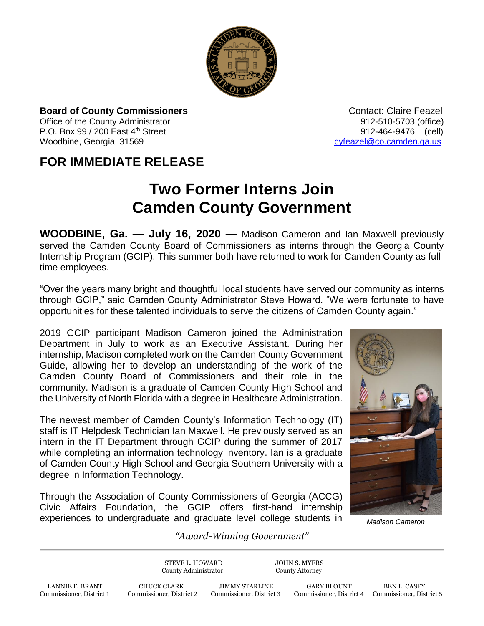

**Board of County Commissioners Contact: Claire Feazel Contact: Claire Feazel** Office of the County Administrator 012-510-5703 (office) P.O. Box 99 / 200 East 4<sup>th</sup> Street 912-464-9476 (cell) Woodbine, Georgia 31569 [cyfeazel@co.camden.ga.us](mailto:cyfeazel@co.camden.ga.us)

## **FOR IMMEDIATE RELEASE**

## **Two Former Interns Join Camden County Government**

**WOODBINE, Ga. — July 16, 2020 —** Madison Cameron and Ian Maxwell previously served the Camden County Board of Commissioners as interns through the Georgia County Internship Program (GCIP). This summer both have returned to work for Camden County as fulltime employees.

"Over the years many bright and thoughtful local students have served our community as interns through GCIP," said Camden County Administrator Steve Howard. "We were fortunate to have opportunities for these talented individuals to serve the citizens of Camden County again."

2019 GCIP participant Madison Cameron joined the Administration Department in July to work as an Executive Assistant. During her internship, Madison completed work on the Camden County Government Guide, allowing her to develop an understanding of the work of the Camden County Board of Commissioners and their role in the community. Madison is a graduate of Camden County High School and the University of North Florida with a degree in Healthcare Administration.

The newest member of Camden County's Information Technology (IT) staff is IT Helpdesk Technician Ian Maxwell. He previously served as an intern in the IT Department through GCIP during the summer of 2017 while completing an information technology inventory. Ian is a graduate of Camden County High School and Georgia Southern University with a degree in Information Technology.

Through the Association of County Commissioners of Georgia (ACCG) Civic Affairs Foundation, the GCIP offers first-hand internship experiences to undergraduate and graduate level college students in *Madison Cameron*



## *"Award-Winning Government"*

STEVE L. HOWARD JOHN S. MYERS County Administrator County Attorney

LANNIE E. BRANT CHUCK CLARK JIMMY STARLINE GARY BLOUNT BEN L. CASEY<br>Commissioner, District 1 Commissioner, District 2 Commissioner, District 3 Commissioner, District 4 Commissioner, Dist

Commissioner, District 4 Commissioner, District 5